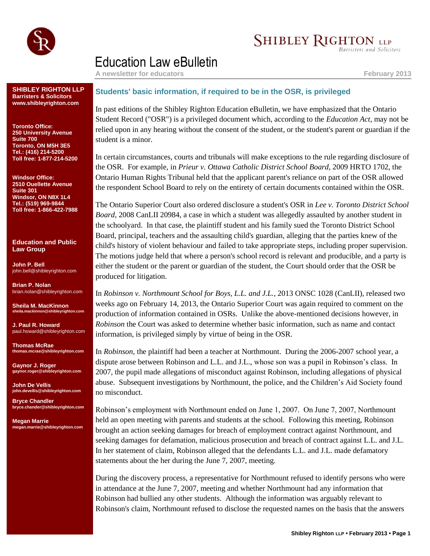

## **SHIBLEY RIGHTON LLP**

**Barristers and Solicitors** 

## Education Law eBulletin

**A newsletter for educators February 2013**

**SHIBLEY RIGHTON LLP Barristers & Solicitors www.shibleyrighton.com**

**Toronto Office: 250 University Avenue Suite 700 Toronto, ON M5H 3E5 Tel.: (416) 214-5200 Toll free: 1-877-214-5200**

**Windsor Office: 2510 Ouellette Avenue Suite 301 Windsor, ON N8X 1L4 Tel.: (519) 969-9844 Toll free: 1-866-422-7988**

**Education and Public Law Group**

**John P. Bell** john.bell@shibleyrighton.com

**Brian P. Nolan** brian.nolan@shibleyrighton.com

**Sheila M. MacKinnon ila.mackinnon@shib** 

**J. Paul R. Howard** paul.howard@shibleyrighton.com

**Thomas McRae thomas.mcrae@shibleyrighton.com**

**Gaynor J. Roger gaynor.roger@shibleyrighton.com**

**John De Vellis john.devellis@shibleyrighton.com**

**Bryce Chandler bryce.chander@shibleyrighton.com**

**Megan Marrie megan.marrie@shibleyrighton.com**

## **Students' basic information, if required to be in the OSR, is privileged**

In past editions of the Shibley Righton Education eBulletin, we have emphasized that the Ontario Student Record ("OSR") is a privileged document which, according to the *Education Act*, may not be relied upon in any hearing without the consent of the student, or the student's parent or guardian if the student is a minor.

In certain circumstances, courts and tribunals will make exceptions to the rule regarding disclosure of the OSR. For example, in *Prieur v. Ottawa Catholic District School Board*, 2009 HRTO 1702, the Ontario Human Rights Tribunal held that the applicant parent's reliance on part of the OSR allowed the respondent School Board to rely on the entirety of certain documents contained within the OSR.

The Ontario Superior Court also ordered disclosure a student's OSR in *Lee v. Toronto District School Board*, 2008 CanLII 20984, a case in which a student was allegedly assaulted by another student in the schoolyard. In that case, the plaintiff student and his family sued the Toronto District School Board, principal, teachers and the assaulting child's guardian, alleging that the parties knew of the child's history of violent behaviour and failed to take appropriate steps, including proper supervision. The motions judge held that where a person's school record is relevant and producible, and a party is either the student or the parent or guardian of the student, the Court should order that the OSR be produced for litigation.

In *Robinson v. Northmount School for Boys, L.L. and J.L.*, 2013 ONSC 1028 (CanLII), released two weeks ago on February 14, 2013, the Ontario Superior Court was again required to comment on the production of information contained in OSRs. Unlike the above-mentioned decisions however, in *Robinson* the Court was asked to determine whether basic information, such as name and contact information, is privileged simply by virtue of being in the OSR.

In *Robinson*, the plaintiff had been a teacher at Northmount. During the 2006-2007 school year, a dispute arose between Robinson and L.L. and J.L., whose son was a pupil in Robinson's class. In 2007, the pupil made allegations of misconduct against Robinson, including allegations of physical abuse. Subsequent investigations by Northmount, the police, and the Children's Aid Society found no misconduct.

Robinson's employment with Northmount ended on June 1, 2007. On June 7, 2007, Northmount held an open meeting with parents and students at the school. Following this meeting, Robinson brought an action seeking damages for breach of employment contract against Northmount, and seeking damages for defamation, malicious prosecution and breach of contract against L.L. and J.L. In her statement of claim, Robinson alleged that the defendants L.L. and J.L. made defamatory statements about the her during the June 7, 2007, meeting.

During the discovery process, a representative for Northmount refused to identify persons who were in attendance at the June 7, 2007, meeting and whether Northmount had any information that Robinson had bullied any other students. Although the information was arguably relevant to Robinson's claim, Northmount refused to disclose the requested names on the basis that the answers